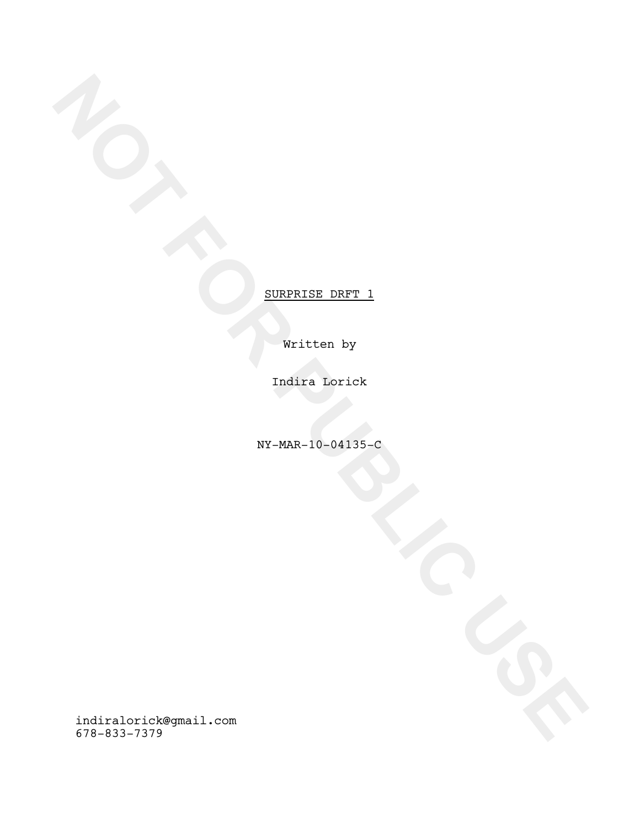Written by

Indira Lorick

NY-MAR-10-04135-C

**NOTE:**<br>
WEITHER DRFT\_1<br>
WHERE DRFT\_1<br>
NOTE:<br>
NOTE:<br>
NOTE:<br>
NOTE:<br>
NOTE:<br>
NOTE:<br>
NOTE:<br>
NOTE:<br>
NOTE:<br>
NOTE:<br>
NOTE:<br>
NOTE:<br>
NOTE:<br>
NOTE:<br>
NOTE:<br>
NOTE:<br>
NOTE:<br>
NOTE:<br>
NOTE:<br>
NOTE:<br>
NOTE:<br>
NOTE:<br>
NOTE:<br>
NOTE:<br>
NOTE:<br>
NOTE:<br>
N indiralorick@gmail.com 678-833-7379